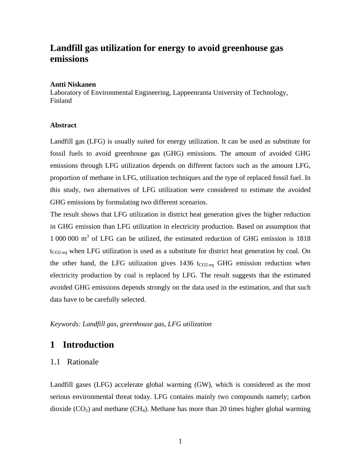# **Landfill gas utilization for energy to avoid greenhouse gas emissions**

#### **Antti Niskanen**

Laboratory of Environmental Engineering, Lappeenranta University of Technology, Finland

### **Abstract**

Landfill gas (LFG) is usually suited for energy utilization. It can be used as substitute for fossil fuels to avoid greenhouse gas (GHG) emissions. The amount of avoided GHG emissions through LFG utilization depends on different factors such as the amount LFG, proportion of methane in LFG, utilization techniques and the type of replaced fossil fuel. In this study, two alternatives of LFG utilization were considered to estimate the avoided GHG emissions by formulating two different scenarios.

The result shows that LFG utilization in district heat generation gives the higher reduction in GHG emission than LFG utilization in electricity production. Based on assumption that 1 000 000 m3 of LFG can be utilized, the estimated reduction of GHG emission is 1818  $t_{CO2-eq}$  when LFG utilization is used as a substitute for district heat generation by coal. On the other hand, the LFG utilization gives  $1436$  t<sub>CO2-eq</sub> GHG emission reduction when electricity production by coal is replaced by LFG. The result suggests that the estimated avoided GHG emissions depends strongly on the data used in the estimation, and that such data have to be carefully selected.

*Keywords: Landfill gas, greenhouse gas, LFG utilization* 

## **1 Introduction**

### 1.1 Rationale

Landfill gases (LFG) accelerate global warming (GW), which is considered as the most serious environmental threat today. LFG contains mainly two compounds namely; carbon dioxide  $(CO_2)$  and methane  $(CH_4)$ . Methane has more than 20 times higher global warming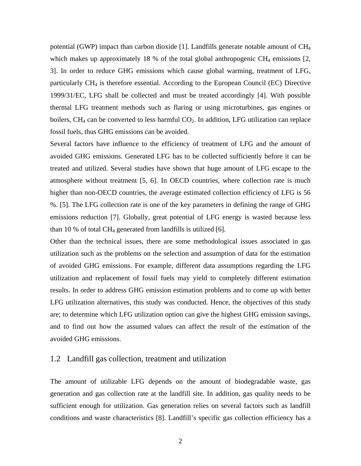potential (GWP) impact than carbon dioxide [1]. Landfills generate notable amount of CH4 which makes up approximately 18 % of the total global anthropogenic  $CH_4$  emissions [2, 3]. In order to reduce GHG emissions which cause global warming, treatment of LFG, particularly CH4 is therefore essential. According to the European Council (EC) Directive 1999/31/EC, LFG shall be collected and must be treated accordingly [4]. With possible thermal LFG treatment methods such as flaring or using microturbines, gas engines or boilers,  $CH_4$  can be converted to less harmful  $CO_2$ . In addition, LFG utilization can replace fossil fuels, thus GHG emissions can be avoided.

Several factors have influence to the efficiency of treatment of LFG and the amount of avoided GHG emissions. Generated LFG has to be collected sufficiently before it can be treated and utilized. Several studies have shown that huge amount of LFG escape to the atmosphere without treatment [5, 6]. In OECD countries, where collection rate is much higher than non-OECD countries, the average estimated collection efficiency of LFG is 56 %. [5]. The LFG collection rate is one of the key parameters in defining the range of GHG emissions reduction [7]. Globally, great potential of LFG energy is wasted because less than 10 % of total  $CH_4$  generated from landfills is utilized [6].

Other than the technical issues, there are some methodological issues associated in gas utilization such as the problems on the selection and assumption of data for the estimation of avoided GHG emissions. For example, different data assumptions regarding the LFG utilization and replacement of fossil fuels may yield to completely different estimation results. In order to address GHG emission estimation problems and to come up with better LFG utilization alternatives, this study was conducted. Hence, the objectives of this study are; to determine which LFG utilization option can give the highest GHG emission savings, and to find out how the assumed values can affect the result of the estimation of the avoided GHG emissions.

### 1.2 Landfill gas collection, treatment and utilization

The amount of utilizable LFG depends on the amount of biodegradable waste, gas generation and gas collection rate at the landfill site. In addition, gas quality needs to be sufficient enough for utilization. Gas generation relies on several factors such as landfill conditions and waste characteristics [8]. Landfill's specific gas collection efficiency has a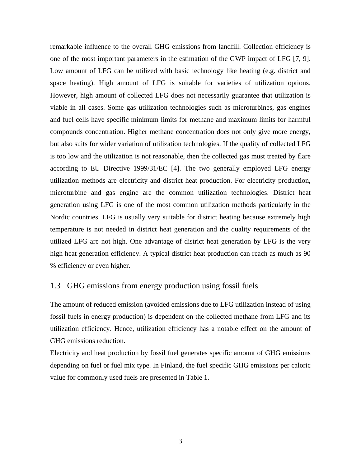remarkable influence to the overall GHG emissions from landfill. Collection efficiency is one of the most important parameters in the estimation of the GWP impact of LFG [7, 9]. Low amount of LFG can be utilized with basic technology like heating (e.g. district and space heating). High amount of LFG is suitable for varieties of utilization options. However, high amount of collected LFG does not necessarily guarantee that utilization is viable in all cases. Some gas utilization technologies such as microturbines, gas engines and fuel cells have specific minimum limits for methane and maximum limits for harmful compounds concentration. Higher methane concentration does not only give more energy, but also suits for wider variation of utilization technologies. If the quality of collected LFG is too low and the utilization is not reasonable, then the collected gas must treated by flare according to EU Directive 1999/31/EC [4]. The two generally employed LFG energy utilization methods are electricity and district heat production. For electricity production, microturbine and gas engine are the common utilization technologies. District heat generation using LFG is one of the most common utilization methods particularly in the Nordic countries. LFG is usually very suitable for district heating because extremely high temperature is not needed in district heat generation and the quality requirements of the utilized LFG are not high. One advantage of district heat generation by LFG is the very high heat generation efficiency. A typical district heat production can reach as much as 90 % efficiency or even higher.

### 1.3 GHG emissions from energy production using fossil fuels

The amount of reduced emission (avoided emissions due to LFG utilization instead of using fossil fuels in energy production) is dependent on the collected methane from LFG and its utilization efficiency. Hence, utilization efficiency has a notable effect on the amount of GHG emissions reduction.

Electricity and heat production by fossil fuel generates specific amount of GHG emissions depending on fuel or fuel mix type. In Finland, the fuel specific GHG emissions per caloric value for commonly used fuels are presented in Table 1.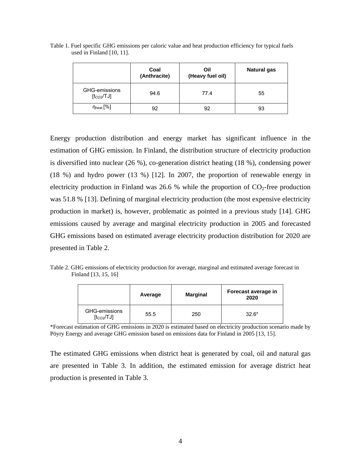|                                         | Coal<br>(Anthracite) | Oil<br>(Heavy fuel oil) | <b>Natural gas</b> |
|-----------------------------------------|----------------------|-------------------------|--------------------|
| GHG-emissions<br>[t <sub>CO2</sub> /TJ] | 94.6                 | 77.4                    | 55                 |
| $\eta_{\text{heat}}$ [%]                | 92                   | 92                      | 93                 |

Table 1. Fuel specific GHG emissions per caloric value and heat production efficiency for typical fuels used in Finland [10, 11].

Energy production distribution and energy market has significant influence in the estimation of GHG emission. In Finland, the distribution structure of electricity production is diversified into nuclear (26 %), co-generation district heating (18 %), condensing power (18 %) and hydro power (13 %) [12]. In 2007, the proportion of renewable energy in electricity production in Finland was 26.6 % while the proportion of  $CO<sub>2</sub>$ -free production was 51.8 % [13]. Defining of marginal electricity production (the most expensive electricity production in market) is, however, problematic as pointed in a previous study [14]. GHG emissions caused by average and marginal electricity production in 2005 and forecasted GHG emissions based on estimated average electricity production distribution for 2020 are presented in Table 2.

Table 2. GHG emissions of electricity production for average, marginal and estimated average forecast in Finland [13, 15, 16]

|                                         | Average | <b>Marginal</b> | Forecast average in<br>2020 |
|-----------------------------------------|---------|-----------------|-----------------------------|
| GHG-emissions<br>[t <sub>CO2</sub> /TJ] | 55.5    | 250             | $32.6*$                     |

<sup>\*</sup>Forecast estimation of GHG emissions in 2020 is estimated based on electricity production scenario made by Pöyry Energy and average GHG emission based on emissions data for Finland in 2005 [13, 15].

The estimated GHG emissions when district heat is generated by coal, oil and natural gas are presented in Table 3. In addition, the estimated emission for average district heat production is presented in Table 3.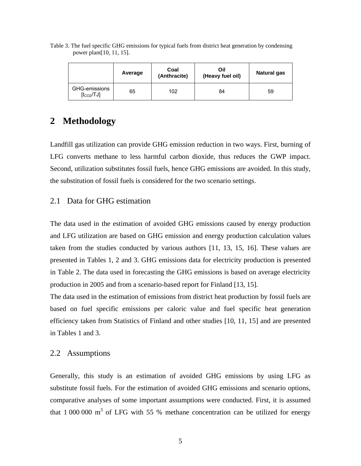| Table 3. The fuel specific GHG emissions for typical fuels from district heat generation by condensing |  |  |  |
|--------------------------------------------------------------------------------------------------------|--|--|--|
| power plant [10, 11, 15].                                                                              |  |  |  |

|                                         | Average | Coal<br>(Anthracite) | Oil<br>(Heavy fuel oil) | <b>Natural gas</b> |
|-----------------------------------------|---------|----------------------|-------------------------|--------------------|
| GHG-emissions<br>[t <sub>CO2</sub> /TJ] | 65      | 102                  | 84                      | 59                 |

## **2 Methodology**

Landfill gas utilization can provide GHG emission reduction in two ways. First, burning of LFG converts methane to less harmful carbon dioxide, thus reduces the GWP impact. Second, utilization substitutes fossil fuels, hence GHG emissions are avoided. In this study, the substitution of fossil fuels is considered for the two scenario settings.

### 2.1 Data for GHG estimation

The data used in the estimation of avoided GHG emissions caused by energy production and LFG utilization are based on GHG emission and energy production calculation values taken from the studies conducted by various authors [11, 13, 15, 16]. These values are presented in Tables 1, 2 and 3. GHG emissions data for electricity production is presented in Table 2. The data used in forecasting the GHG emissions is based on average electricity production in 2005 and from a scenario-based report for Finland [13, 15].

The data used in the estimation of emissions from district heat production by fossil fuels are based on fuel specific emissions per caloric value and fuel specific heat generation efficiency taken from Statistics of Finland and other studies [10, 11, 15] and are presented in Tables 1 and 3.

### 2.2 Assumptions

Generally, this study is an estimation of avoided GHG emissions by using LFG as substitute fossil fuels. For the estimation of avoided GHG emissions and scenario options, comparative analyses of some important assumptions were conducted. First, it is assumed that  $1000000 \text{ m}^3$  of LFG with 55 % methane concentration can be utilized for energy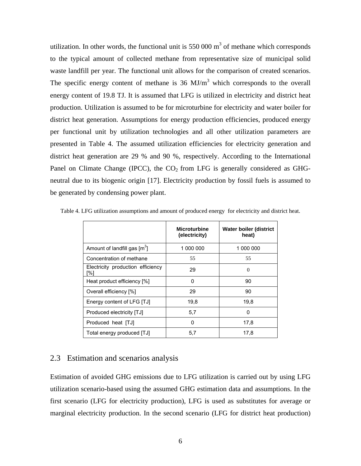utilization. In other words, the functional unit is  $550000 \text{ m}^3$  of methane which corresponds to the typical amount of collected methane from representative size of municipal solid waste landfill per year. The functional unit allows for the comparison of created scenarios. The specific energy content of methane is  $36 \text{ MJ/m}^3$  which corresponds to the overall energy content of 19.8 TJ. It is assumed that LFG is utilized in electricity and district heat production. Utilization is assumed to be for microturbine for electricity and water boiler for district heat generation. Assumptions for energy production efficiencies, produced energy per functional unit by utilization technologies and all other utilization parameters are presented in Table 4. The assumed utilization efficiencies for electricity generation and district heat generation are 29 % and 90 %, respectively. According to the International Panel on Climate Change (IPCC), the  $CO<sub>2</sub>$  from LFG is generally considered as GHGneutral due to its biogenic origin [17]. Electricity production by fossil fuels is assumed to be generated by condensing power plant.

|                                              | <b>Microturbine</b><br>(electricity) | Water boiler (district<br>heat) |
|----------------------------------------------|--------------------------------------|---------------------------------|
| Amount of landfill gas $\text{[m}^3\text{]}$ | 1 000 000                            | 1 000 000                       |
| Concentration of methane                     | 55                                   | 55                              |
| Electricity production efficiency<br>r%1     | 29                                   | $\Omega$                        |
| Heat product efficiency [%]                  | 0                                    | 90                              |
| Overall efficiency [%]                       | 29                                   | 90                              |
| Energy content of LFG [TJ]                   | 19,8                                 | 19,8                            |
| Produced electricity [TJ]                    | 5,7                                  | n                               |
| Produced heat [TJ]                           | 0                                    | 17,8                            |
| Total energy produced [TJ]                   | 5,7                                  | 17,8                            |

Table 4. LFG utilization assumptions and amount of produced energy for electricity and district heat.

### 2.3 Estimation and scenarios analysis

Estimation of avoided GHG emissions due to LFG utilization is carried out by using LFG utilization scenario-based using the assumed GHG estimation data and assumptions. In the first scenario (LFG for electricity production), LFG is used as substitutes for average or marginal electricity production. In the second scenario (LFG for district heat production)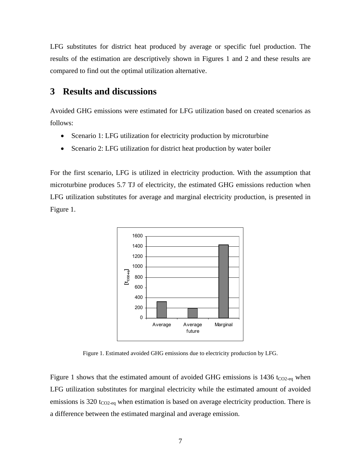LFG substitutes for district heat produced by average or specific fuel production. The results of the estimation are descriptively shown in Figures 1 and 2 and these results are compared to find out the optimal utilization alternative.

# **3 Results and discussions**

Avoided GHG emissions were estimated for LFG utilization based on created scenarios as follows:

- Scenario 1: LFG utilization for electricity production by microturbine
- Scenario 2: LFG utilization for district heat production by water boiler

For the first scenario, LFG is utilized in electricity production. With the assumption that microturbine produces 5.7 TJ of electricity, the estimated GHG emissions reduction when LFG utilization substitutes for average and marginal electricity production, is presented in Figure 1.



Figure 1. Estimated avoided GHG emissions due to electricity production by LFG.

Figure 1 shows that the estimated amount of avoided GHG emissions is  $1436$  t<sub>CO2-eq</sub> when LFG utilization substitutes for marginal electricity while the estimated amount of avoided emissions is 320  $t_{CO2-eq}$  when estimation is based on average electricity production. There is a difference between the estimated marginal and average emission.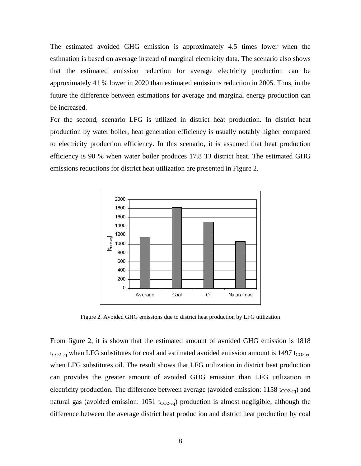The estimated avoided GHG emission is approximately 4.5 times lower when the estimation is based on average instead of marginal electricity data. The scenario also shows that the estimated emission reduction for average electricity production can be approximately 41 % lower in 2020 than estimated emissions reduction in 2005. Thus, in the future the difference between estimations for average and marginal energy production can be increased.

For the second, scenario LFG is utilized in district heat production. In district heat production by water boiler, heat generation efficiency is usually notably higher compared to electricity production efficiency. In this scenario, it is assumed that heat production efficiency is 90 % when water boiler produces 17.8 TJ district heat. The estimated GHG emissions reductions for district heat utilization are presented in Figure 2.



Figure 2. Avoided GHG emissions due to district heat production by LFG utilization

From figure 2, it is shown that the estimated amount of avoided GHG emission is 1818  $t_{CO2-eq}$  when LFG substitutes for coal and estimated avoided emission amount is 1497  $t_{CO2-eq}$ when LFG substitutes oil. The result shows that LFG utilization in district heat production can provides the greater amount of avoided GHG emission than LFG utilization in electricity production. The difference between average (avoided emission:  $1158$  t<sub>CO2-eq</sub>) and natural gas (avoided emission:  $1051$  t<sub>CO2-eq</sub>) production is almost negligible, although the difference between the average district heat production and district heat production by coal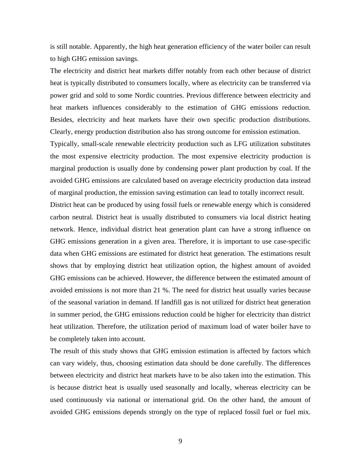is still notable. Apparently, the high heat generation efficiency of the water boiler can result to high GHG emission savings.

The electricity and district heat markets differ notably from each other because of district heat is typically distributed to consumers locally, where as electricity can be transferred via power grid and sold to some Nordic countries. Previous difference between electricity and heat markets influences considerably to the estimation of GHG emissions reduction. Besides, electricity and heat markets have their own specific production distributions. Clearly, energy production distribution also has strong outcome for emission estimation.

Typically, small-scale renewable electricity production such as LFG utilization substitutes the most expensive electricity production. The most expensive electricity production is marginal production is usually done by condensing power plant production by coal. If the avoided GHG emissions are calculated based on average electricity production data instead of marginal production, the emission saving estimation can lead to totally incorrect result.

District heat can be produced by using fossil fuels or renewable energy which is considered carbon neutral. District heat is usually distributed to consumers via local district heating network. Hence, individual district heat generation plant can have a strong influence on GHG emissions generation in a given area. Therefore, it is important to use case-specific data when GHG emissions are estimated for district heat generation. The estimations result shows that by employing district heat utilization option, the highest amount of avoided GHG emissions can be achieved. However, the difference between the estimated amount of avoided emissions is not more than 21 %. The need for district heat usually varies because of the seasonal variation in demand. If landfill gas is not utilized for district heat generation in summer period, the GHG emissions reduction could be higher for electricity than district heat utilization. Therefore, the utilization period of maximum load of water boiler have to be completely taken into account.

The result of this study shows that GHG emission estimation is affected by factors which can vary widely, thus, choosing estimation data should be done carefully. The differences between electricity and district heat markets have to be also taken into the estimation. This is because district heat is usually used seasonally and locally, whereas electricity can be used continuously via national or international grid. On the other hand, the amount of avoided GHG emissions depends strongly on the type of replaced fossil fuel or fuel mix.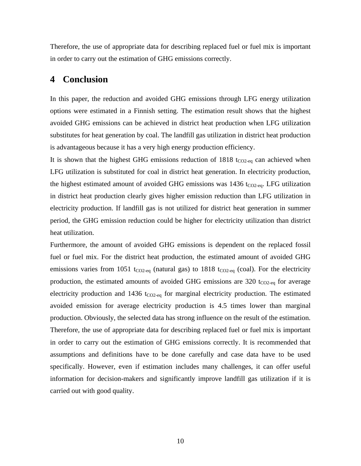Therefore, the use of appropriate data for describing replaced fuel or fuel mix is important in order to carry out the estimation of GHG emissions correctly.

## **4 Conclusion**

In this paper, the reduction and avoided GHG emissions through LFG energy utilization options were estimated in a Finnish setting. The estimation result shows that the highest avoided GHG emissions can be achieved in district heat production when LFG utilization substitutes for heat generation by coal. The landfill gas utilization in district heat production is advantageous because it has a very high energy production efficiency.

It is shown that the highest GHG emissions reduction of  $1818$  t<sub>CO2-eq</sub> can achieved when LFG utilization is substituted for coal in district heat generation. In electricity production, the highest estimated amount of avoided GHG emissions was  $1436$  t<sub>CO2-eq</sub>. LFG utilization in district heat production clearly gives higher emission reduction than LFG utilization in electricity production. If landfill gas is not utilized for district heat generation in summer period, the GHG emission reduction could be higher for electricity utilization than district heat utilization.

Furthermore, the amount of avoided GHG emissions is dependent on the replaced fossil fuel or fuel mix. For the district heat production, the estimated amount of avoided GHG emissions varies from 1051 t<sub>CO2-eq</sub> (natural gas) to 1818 t<sub>CO2-eq</sub> (coal). For the electricity production, the estimated amounts of avoided GHG emissions are 320  $t_{CO2-eq}$  for average electricity production and 1436  $t_{CO2-eq}$  for marginal electricity production. The estimated avoided emission for average electricity production is 4.5 times lower than marginal production. Obviously, the selected data has strong influence on the result of the estimation. Therefore, the use of appropriate data for describing replaced fuel or fuel mix is important in order to carry out the estimation of GHG emissions correctly. It is recommended that assumptions and definitions have to be done carefully and case data have to be used specifically. However, even if estimation includes many challenges, it can offer useful information for decision-makers and significantly improve landfill gas utilization if it is carried out with good quality.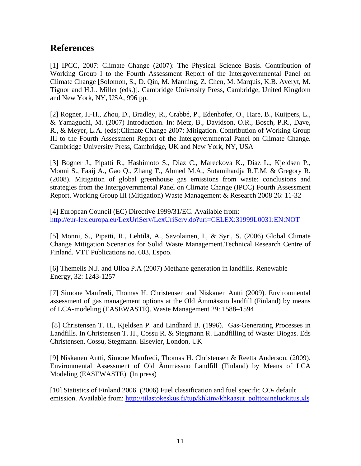# **References**

[1] IPCC, 2007: Climate Change (2007): The Physical Science Basis. Contribution of Working Group I to the Fourth Assessment Report of the Intergovernmental Panel on Climate Change [Solomon, S., D. Qin, M. Manning, Z. Chen, M. Marquis, K.B. Averyt, M. Tignor and H.L. Miller (eds.)]. Cambridge University Press, Cambridge, United Kingdom and New York, NY, USA, 996 pp.

[2] Rogner, H-H., Zhou, D., Bradley, R., Crabbé, P., Edenhofer, O., Hare, B., Kuijpers, L., & Yamaguchi, M. (2007) Introduction. In: Metz, B., Davidson, O.R., Bosch, P.R., Dave, R., & Meyer, L.A. (eds):Climate Change 2007: Mitigation. Contribution of Working Group III to the Fourth Assessment Report of the Intergovernmental Panel on Climate Change. Cambridge University Press, Cambridge, UK and New York, NY, USA

[3] Bogner J., Pipatti R., Hashimoto S., Diaz C., Mareckova K., Diaz L., Kjeldsen P., Monni S., Faaij A., Gao Q., Zhang T., Ahmed M.A., Sutamihardja R.T.M. & Gregory R. (2008). Mitigation of global greenhouse gas emissions from waste: conclusions and strategies from the Intergovernmental Panel on Climate Change (IPCC) Fourth Assessment Report. Working Group III (Mitigation) Waste Management & Research 2008 26: 11-32

[4] European Council (EC) Directive 1999/31/EC. Available from: <http://eur-lex.europa.eu/LexUriServ/LexUriServ.do?uri=CELEX:31999L0031:EN:NOT>

[5] Monni, S., Pipatti, R., Lehtilä, A., Savolainen, I., & Syri, S. (2006) Global Climate Change Mitigation Scenarios for Solid Waste Management.Technical Research Centre of Finland. VTT Publications no. 603, Espoo.

[6] Themelis N.J. and Ulloa P.A (2007) Methane generation in landfills. Renewable Energy, 32: 1243-1257

[7] Simone Manfredi, Thomas H. Christensen and Niskanen Antti (2009). Environmental assessment of gas management options at the Old Ämmässuo landfill (Finland) by means of LCA-modeling (EASEWASTE). Waste Management 29: 1588–1594

[8] Christensen T. H., Kjeldsen P. and Lindhard B. (1996). Gas-Generating Processes in Landfills. In Christensen T. H., Cossu R. & Stegmann R. Landfilling of Waste: Biogas. Eds Christensen, Cossu, Stegmann. Elsevier, London, UK

[9] Niskanen Antti, Simone Manfredi, Thomas H. Christensen & Reetta Anderson, (2009). Environmental Assessment of Old Ämmässuo Landfill (Finland) by Means of LCA Modeling (EASEWASTE). (In press)

[10] Statistics of Finland 2006. (2006) Fuel classification and fuel specific  $CO<sub>2</sub>$  default emission. Available from: [http://tilastokeskus.fi/tup/khkinv/khkaasut\\_polttoaineluokitus.xls](http://tilastokeskus.fi/tup/khkinv/khkaasut_polttoaineluokitus.xls)